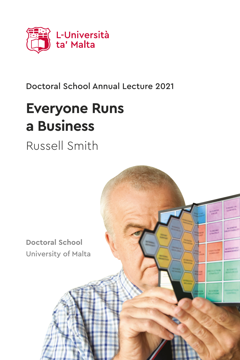

## Doctoral School Annual Lecture 2021

# **Everyone Runs a Business**

Russell Smith

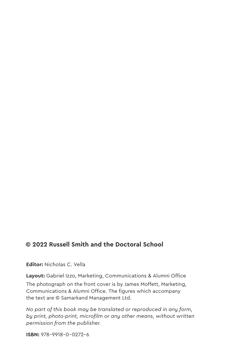#### **© 2022 Russell Smith and the Doctoral School**

**Editor:** Nicholas C. Vella

**Layout:** Gabriel Izzo, Marketing, Communications & Alumni Office The photograph on the front cover is by James Moffett, Marketing, Communications & Alumni Office. The figures which accompany the text are © Samarkand Management Ltd.

*No part of this book may be translated or reproduced in any form, by print, photo-print, microfilm or any other means, without written permission from the publisher.*

**ISBN:** 978-9918-0-0272-6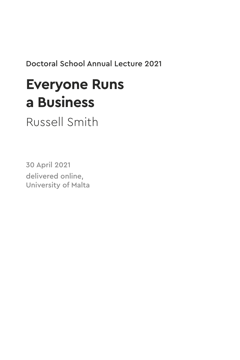Doctoral School Annual Lecture 2021

## **Everyone Runs a Business**

Russell Smith

30 April 2021 delivered online, University of Malta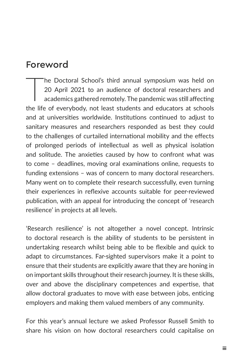## Foreword

The Doctoral School's third annual symposium was held on<br>20 April 2021 to an audience of doctoral researchers and<br>academics gathered remotely. The pandemic was still affecting<br>the life of eventhody, not least students and 20 April 2021 to an audience of doctoral researchers and academics gathered remotely. The pandemic was still affecting the life of everybody, not least students and educators at schools and at universities worldwide. Institutions continued to adjust to sanitary measures and researchers responded as best they could to the challenges of curtailed international mobility and the effects of prolonged periods of intellectual as well as physical isolation and solitude. The anxieties caused by how to confront what was to come – deadlines, moving oral examinations online, requests to funding extensions – was of concern to many doctoral researchers. Many went on to complete their research successfully, even turning their experiences in reflexive accounts suitable for peer-reviewed publication, with an appeal for introducing the concept of 'research resilience' in projects at all levels.

'Research resilience' is not altogether a novel concept. Intrinsic to doctoral research is the ability of students to be persistent in undertaking research whilst being able to be flexible and quick to adapt to circumstances. Far-sighted supervisors make it a point to ensure that their students are explicitly aware that they are honing in on important skills throughout their research journey. It is these skills, over and above the disciplinary competences and expertise, that allow doctoral graduates to move with ease between jobs, enticing employers and making them valued members of any community.

For this year's annual lecture we asked Professor Russell Smith to share his vision on how doctoral researchers could capitalise on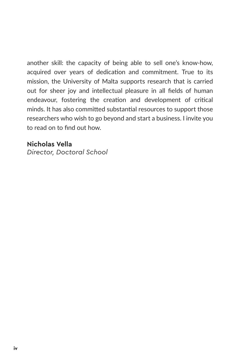another skill: the capacity of being able to sell one's know-how, acquired over years of dedication and commitment. True to its mission, the University of Malta supports research that is carried out for sheer joy and intellectual pleasure in all fields of human endeavour, fostering the creation and development of critical minds. It has also committed substantial resources to support those researchers who wish to go beyond and start a business. I invite you to read on to find out how.

#### **Nicholas Vella**

*Director, Doctoral School*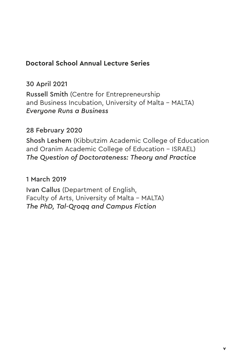#### **Doctoral School Annual Lecture Series**

30 April 2021

Russell Smith (Centre for Entrepreneurship and Business Incubation, University of Malta – MALTA) *Everyone Runs a Business*

#### 28 February 2020

Shosh Leshem (Kibbutzim Academic College of Education and Oranim Academic College of Education – ISRAEL) *The Question of Doctorateness: Theory and Practice*

#### 1 March 2019

Ivan Callus (Department of English, Faculty of Arts, University of Malta – MALTA) *The PhD, Tal-Qroqq and Campus Fiction*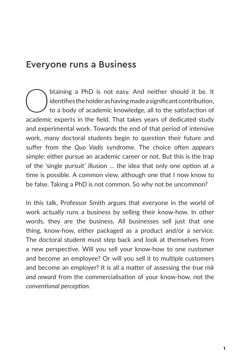## Everyone runs a Business

btaining a PhD is not easy. And neither should it be. It identifies the holder as having made a significant contribution, to a body of academic knowledge, all to the satisfaction of academic syneric in the fold. That takes identifies the holder as having made a significant contribution, to a body of academic knowledge, all to the satisfaction of academic experts in the field. That takes years of dedicated study and experimental work. Towards the end of that period of intensive work, many doctoral students begin to question their future and suffer from the *Quo Vadis* syndrome. The choice often appears simple: either pursue an academic career or not. But this is the trap of the 'single pursuit' illusion … the idea that only one option at a time is possible. A common view, although one that I now know to be false. Taking a PhD is not common. So why not be uncommon?

In this talk, Professor Smith argues that everyone in the world of work actually runs a business by selling their know-how. In other words, they are the business. All businesses sell just that one thing, know-how, either packaged as a product and/or a service. The doctoral student must step back and look at themselves from a new perspective. Will you sell your know-how to one customer and become an employee? Or will you sell it to multiple customers and become an employer? It is all a matter of assessing the *true risk and reward* from the commercialisation of your know-how, not the *conventional perception*.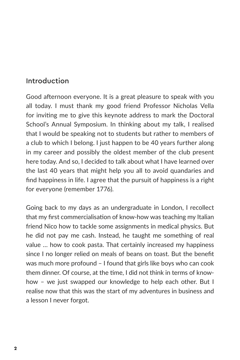## Introduction

Good afternoon everyone. It is a great pleasure to speak with you all today. I must thank my good friend Professor Nicholas Vella for inviting me to give this keynote address to mark the Doctoral School's Annual Symposium. In thinking about my talk, I realised that I would be speaking not to students but rather to members of a club to which I belong. I just happen to be 40 years further along in my career and possibly the oldest member of the club present here today. And so, I decided to talk about what I have learned over the last 40 years that might help you all to avoid quandaries and find happiness in life. I agree that the pursuit of happiness is a right for everyone (remember 1776).

Going back to my days as an undergraduate in London, I recollect that my first commercialisation of know-how was teaching my Italian friend Nico how to tackle some assignments in medical physics. But he did not pay me cash. Instead, he taught me something of real value … how to cook pasta. That certainly increased my happiness since I no longer relied on meals of beans on toast. But the benefit was much more profound – I found that girls like boys who can cook them dinner. Of course, at the time, I did not think in terms of knowhow – we just swapped our knowledge to help each other. But I realise now that this was the start of my adventures in business and a lesson I never forgot.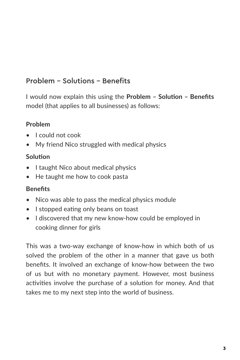## Problem - Solutions - Benefits

I would now explain this using the **Problem – Solution – Benefits** model (that applies to all businesses) as follows:

#### **Problem**

- I could not cook
- My friend Nico struggled with medical physics

#### **Solution**

- I taught Nico about medical physics
- He taught me how to cook pasta

#### **Benefits**

- Nico was able to pass the medical physics module
- I stopped eating only beans on toast
- I discovered that my new know-how could be employed in cooking dinner for girls

This was a two-way exchange of know-how in which both of us solved the problem of the other in a manner that gave us both benefits. It involved an exchange of know-how between the two of us but with no monetary payment. However, most business activities involve the purchase of a solution for money. And that takes me to my next step into the world of business.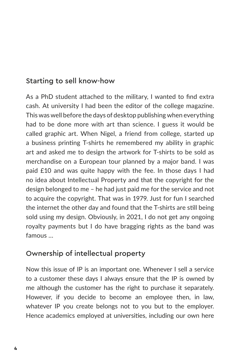## Starting to sell know-how

As a PhD student attached to the military, I wanted to find extra cash. At university I had been the editor of the college magazine. This was well before the days of desktop publishing when everything had to be done more with art than science. I guess it would be called graphic art. When Nigel, a friend from college, started up a business printing T-shirts he remembered my ability in graphic art and asked me to design the artwork for T-shirts to be sold as merchandise on a European tour planned by a major band. I was paid £10 and was quite happy with the fee. In those days I had no idea about Intellectual Property and that the copyright for the design belonged to me – he had just paid me for the service and not to acquire the copyright. That was in 1979. Just for fun I searched the internet the other day and found that the T-shirts are still being sold using my design. Obviously, in 2021, I do not get any ongoing royalty payments but I do have bragging rights as the band was famous …

#### Ownership of intellectual property

Now this issue of IP is an important one. Whenever I sell a service to a customer these days I always ensure that the IP is owned by me although the customer has the right to purchase it separately. However, if you decide to become an employee then, in law, whatever IP you create belongs not to you but to the employer. Hence academics employed at universities, including our own here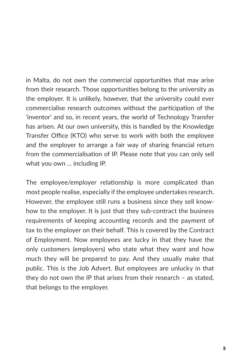in Malta, do not own the commercial opportunities that may arise from their research. Those opportunities belong to the university as the employer. It is unlikely, however, that the university could ever commercialise research outcomes without the participation of the 'inventor' and so, in recent years, the world of Technology Transfer has arisen. At our own university, this is handled by the Knowledge Transfer Office (KTO) who serve to work with both the employee and the employer to arrange a fair way of sharing financial return from the commercialisation of IP. Please note that you can only sell what you own … including IP.

The employee/employer relationship is more complicated than most people realise, especially if the employee undertakes research. However, the employee still runs a business since they sell knowhow to the employer. It is just that they sub-contract the business requirements of keeping accounting records and the payment of tax to the employer on their behalf. This is covered by the Contract of Employment. Now employees are lucky in that they have the only customers (employers) who state what they want and how much they will be prepared to pay. And they usually make that public. This is the Job Advert. But employees are unlucky in that they do not own the IP that arises from their research – as stated, that belongs to the employer.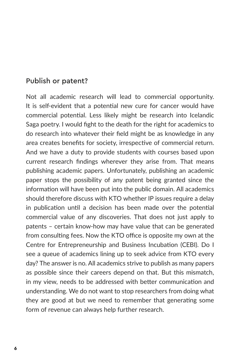#### Publish or patent?

Not all academic research will lead to commercial opportunity. It is self-evident that a potential new cure for cancer would have commercial potential. Less likely might be research into Icelandic Saga poetry. I would fight to the death for the right for academics to do research into whatever their field might be as knowledge in any area creates benefits for society, irrespective of commercial return. And we have a duty to provide students with courses based upon current research findings wherever they arise from. That means publishing academic papers. Unfortunately, publishing an academic paper stops the possibility of any patent being granted since the information will have been put into the public domain. All academics should therefore discuss with KTO whether IP issues require a delay in publication until a decision has been made over the potential commercial value of any discoveries. That does not just apply to patents – certain know-how may have value that can be generated from consulting fees. Now the KTO office is opposite my own at the Centre for Entrepreneurship and Business Incubation (CEBI). Do I see a queue of academics lining up to seek advice from KTO every day? The answer is no. All academics strive to publish as many papers as possible since their careers depend on that. But this mismatch, in my view, needs to be addressed with better communication and understanding. We do not want to stop researchers from doing what they are good at but we need to remember that generating some form of revenue can always help further research.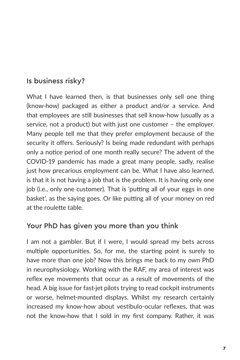## Is business risky?

What I have learned then, is that businesses only sell one thing (know-how) packaged as either a product and/or a service. And that employees are still businesses that sell know-how (usually as a service, not a product) but with just one customer – the employer. Many people tell me that they prefer employment because of the security it offers. Seriously? Is being made redundant with perhaps only a notice period of one month really secure? The advent of the COVID-19 pandemic has made a great many people, sadly, realise just how precarious employment can be. What I have also learned, is that it is not having a job that is the problem. It is having only one job (i.e., only one customer). That is 'putting all of your eggs in one basket', as the saying goes. Or like putting all of your money on red at the roulette table.

#### Your PhD has given you more than you think

I am not a gambler. But if I were, I would spread my bets across multiple opportunities. So, for me, the starting point is surely to have more than one job? Now this brings me back to my own PhD in neurophysiology. Working with the RAF, my area of interest was reflex eye movements that occur as a result of movements of the head. A big issue for fast-jet pilots trying to read cockpit instruments or worse, helmet-mounted displays. Whilst my research certainly increased my know-how about vestibulo-ocular reflexes, that was not the know-how that I sold in my first company. Rather, it was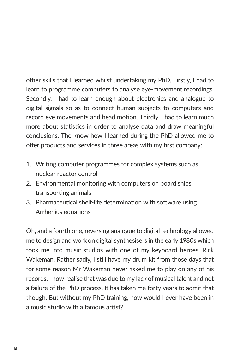other skills that I learned whilst undertaking my PhD. Firstly, I had to learn to programme computers to analyse eye-movement recordings. Secondly, I had to learn enough about electronics and analogue to digital signals so as to connect human subjects to computers and record eye movements and head motion. Thirdly, I had to learn much more about statistics in order to analyse data and draw meaningful conclusions. The know-how I learned during the PhD allowed me to offer products and services in three areas with my first company:

- 1. Writing computer programmes for complex systems such as nuclear reactor control
- 2. Environmental monitoring with computers on board ships transporting animals
- 3. Pharmaceutical shelf-life determination with software using Arrhenius equations

Oh, and a fourth one, reversing analogue to digital technology allowed me to design and work on digital synthesisers in the early 1980s which took me into music studios with one of my keyboard heroes, Rick Wakeman. Rather sadly, I still have my drum kit from those days that for some reason Mr Wakeman never asked me to play on any of his records. I now realise that was due to my lack of musical talent and not a failure of the PhD process. It has taken me forty years to admit that though. But without my PhD training, how would I ever have been in a music studio with a famous artist?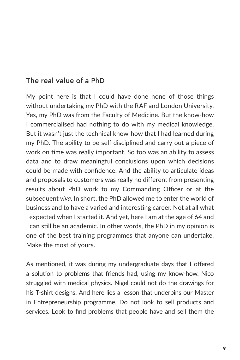## The real value of a PhD

My point here is that I could have done none of those things without undertaking my PhD with the RAF and London University. Yes, my PhD was from the Faculty of Medicine. But the know-how I commercialised had nothing to do with my medical knowledge. But it wasn't just the technical know-how that I had learned during my PhD. The ability to be self-disciplined and carry out a piece of work on time was really important. So too was an ability to assess data and to draw meaningful conclusions upon which decisions could be made with confidence. And the ability to articulate ideas and proposals to customers was really no different from presenting results about PhD work to my Commanding Officer or at the subsequent *viva*. In short, the PhD allowed me to enter the world of business and to have a varied and interesting career. Not at all what I expected when I started it. And yet, here I am at the age of 64 and I can still be an academic. In other words, the PhD in my opinion is one of the best training programmes that anyone can undertake. Make the most of yours.

As mentioned, it was during my undergraduate days that I offered a solution to problems that friends had, using my know-how. Nico struggled with medical physics. Nigel could not do the drawings for his T-shirt designs. And here lies a lesson that underpins our Master in Entrepreneurship programme. Do not look to sell products and services. Look to find problems that people have and sell them the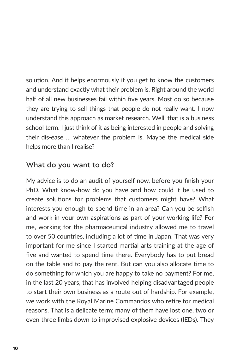solution. And it helps enormously if you get to know the customers and understand exactly what their problem is. Right around the world half of all new businesses fail within five years. Most do so because they are trying to sell things that people do not really want. I now understand this approach as market research. Well, that is a business school term. I just think of it as being interested in people and solving their dis-ease … whatever the problem is. Maybe the medical side helps more than I realise?

## What do you want to do?

My advice is to do an audit of yourself now, before you finish your PhD. What know-how do you have and how could it be used to create solutions for problems that customers might have? What interests you enough to spend time in an area? Can you be selfish and work in your own aspirations as part of your working life? For me, working for the pharmaceutical industry allowed me to travel to over 50 countries, including a lot of time in Japan. That was very important for me since I started martial arts training at the age of five and wanted to spend time there. Everybody has to put bread on the table and to pay the rent. But can you also allocate time to do something for which you are happy to take no payment? For me, in the last 20 years, that has involved helping disadvantaged people to start their own business as a route out of hardship. For example, we work with the Royal Marine Commandos who retire for medical reasons. That is a delicate term; many of them have lost one, two or even three limbs down to improvised explosive devices (IEDs). They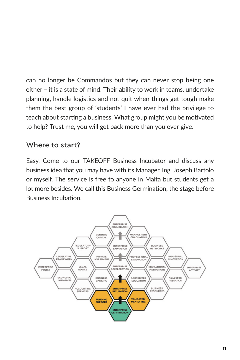can no longer be Commandos but they can never stop being one either – it is a state of mind. Their ability to work in teams, undertake planning, handle logistics and not quit when things get tough make them the best group of 'students' I have ever had the privilege to teach about starting a business. What group might you be motivated to help? Trust me, you will get back more than you ever give.

#### Where to start?

Easy. Come to our TAKEOFF Business Incubator and discuss any business idea that you may have with its Manager, Ing. Joseph Bartolo or myself. The service is free to anyone in Malta but students get a lot more besides. We call this Business Germination, the stage before Business Incubation.

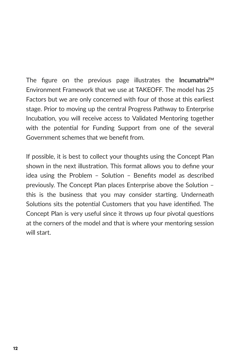The figure on the previous page illustrates the **IncumatrixTM** Environment Framework that we use at TAKEOFF. The model has 25 Factors but we are only concerned with four of those at this earliest stage. Prior to moving up the central Progress Pathway to Enterprise Incubation, you will receive access to Validated Mentoring together with the potential for Funding Support from one of the several Government schemes that we benefit from.

If possible, it is best to collect your thoughts using the Concept Plan shown in the next illustration. This format allows you to define your idea using the Problem – Solution – Benefits model as described previously. The Concept Plan places Enterprise above the Solution – this is the business that you may consider starting. Underneath Solutions sits the potential Customers that you have identified. The Concept Plan is very useful since it throws up four pivotal questions at the corners of the model and that is where your mentoring session will start.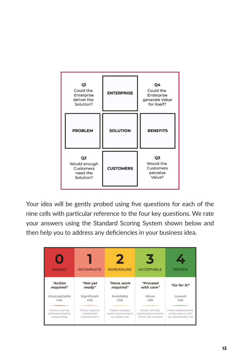

Your idea will be gently probed using five questions for each of the nine cells with particular reference to the four key questions. We rate your answers using the Standard Scoring System shown below and then help you to address any deficiencies in your business idea.

| <b>MISSING</b>   | <b>INCOMPLETE</b> | <b>BORDERLINE</b> | 3<br><b>ACCEPTABLE</b> | <b>PROVEN</b>         |
|------------------|-------------------|-------------------|------------------------|-----------------------|
| "Action          | "Not yet          | "More work        | "Proceed               | "Go for it!"          |
| required"        | ready"            | required"         | with care"             |                       |
| Unacceptable     | Significant       | Avoidable         | Minor                  | Lowest                |
| risk             | risk              | risk              | risk                   | risk                  |
| Factor must be   | Factor requires   | Factor requires   | Factor not fully       | Factor optimised for  |
| addressed before | substantial       | some improvement  | optimised and some     | performance with      |
| progressing      | improvement       | to reduce risk    | minor risk remains     | low identifiable risk |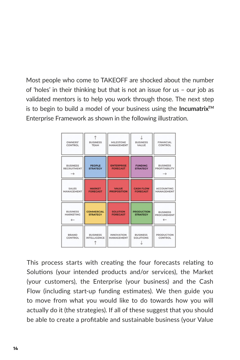Most people who come to TAKEOFF are shocked about the number of 'holes' in their thinking but that is not an issue for us – our job as validated mentors is to help you work through those. The next step is to begin to build a model of your business using the **IncumatrixTM** Enterprise Framework as shown in the following illustration.

| OWNERS'                                                | <b>BUSINESS</b>                  | <b>MILESTONE</b>                     | <b>BUSINESS</b>                   | <b>FINANCIAL</b>                        |
|--------------------------------------------------------|----------------------------------|--------------------------------------|-----------------------------------|-----------------------------------------|
| CONTROL                                                | <b>TEAM</b>                      | MANAGEMENT                           | VALUE                             | CONTROL                                 |
| <b>BUSINESS</b><br><b>RECRUITMENT</b><br>$\rightarrow$ | <b>PEOPLE</b><br><b>STRATEGY</b> | <b>ENTERPRISE</b><br><b>FORECAST</b> | <b>FUNDING</b><br><b>STRATEGY</b> | <b>BUSINESS</b><br><b>PROFITABILITY</b> |
| <b>SALES</b>                                           | <b>MARKET</b>                    | <b>VALUE</b>                         | <b>CASH FLOW</b>                  | <b>ACCOUNTING</b>                       |
| MANAGEMENT                                             | <b>FORECAST</b>                  | <b>PROPOSITION</b>                   | <b>FORECAST</b>                   | <b>MANAGEMENT</b>                       |
| <b>BUSINESS</b>                                        | <b>COMMERCIAL</b>                | <b>SOLUTION</b>                      | <b>PRODUCTION</b>                 | <b>BUSINESS</b>                         |
| <b>MARKETING</b>                                       | <b>STRATEGY</b>                  | <b>FORECAST</b>                      | <b>STRATEGY</b>                   | <b>PROCUREMENT</b>                      |
| <b>BRAND</b>                                           | <b>BUSINESS</b>                  | <b>INNOVATION</b>                    | <b>BUSINESS</b>                   | <b>PRODUCTION</b>                       |
| CONTROL                                                | <b>INTELLIGENCE</b>              | <b>MANAGEMENT</b>                    | <b>SOLUTIONS</b>                  | CONTROL                                 |

This process starts with creating the four forecasts relating to Solutions (your intended products and/or services), the Market (your customers), the Enterprise (your business) and the Cash Flow (including start-up funding estimates). We then guide you to move from what you would like to do towards how you will actually do it (the strategies). If all of these suggest that you should be able to create a profitable and sustainable business (your Value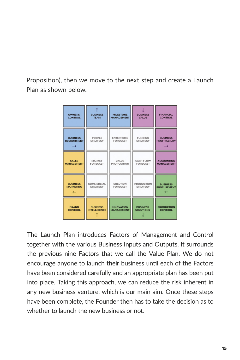Proposition), then we move to the next step and create a Launch Plan as shown below.

| <b>OWNERS'</b>     | <b>BUSINESS</b>     | <b>MILESTONE</b>   | <b>BUSINESS</b>   | <b>FINANCIAL</b>     |
|--------------------|---------------------|--------------------|-------------------|----------------------|
| <b>CONTROL</b>     | <b>TEAM</b>         | <b>MANAGEMENT</b>  | <b>VALUE</b>      | <b>CONTROL</b>       |
| <b>BUSINESS</b>    | PEOPLE              | <b>ENTERPRISE</b>  | <b>FUNDING</b>    | <b>BUSINESS</b>      |
| <b>RECRUITMENT</b> | <b>STRATEGY</b>     | <b>FORECAST</b>    | <b>STRATEGY</b>   | <b>PROFITABILITY</b> |
| <b>SALES</b>       | <b>MARKET</b>       | VALUE              | <b>CASH FLOW</b>  | <b>ACCOUNTING</b>    |
| <b>MANAGEMENT</b>  | <b>FORECAST</b>     | <b>PROPOSITION</b> | <b>FORECAST</b>   | <b>MANAGEMENT</b>    |
| <b>BUSINESS</b>    | COMMERCIAL          | <b>SOLUTION</b>    | <b>PRODUCTION</b> | <b>BUSINESS</b>      |
| <b>MARKETING</b>   | <b>STRATEGY</b>     | <b>FORECAST</b>    | <b>STRATEGY</b>   | <b>PROCUREMENT</b>   |
| <b>BRAND</b>       | <b>BUSINESS</b>     | <b>INNOVATION</b>  | <b>BUSINESS</b>   | <b>PRODUCTION</b>    |
| <b>CONTROL</b>     | <b>INTELLIGENCE</b> | <b>MANAGEMENT</b>  | <b>SOLUTIONS</b>  | <b>CONTROL</b>       |

The Launch Plan introduces Factors of Management and Control together with the various Business Inputs and Outputs. It surrounds the previous nine Factors that we call the Value Plan. We do not encourage anyone to launch their business until each of the Factors have been considered carefully and an appropriate plan has been put into place. Taking this approach, we can reduce the risk inherent in any new business venture, which is our main aim. Once these steps have been complete, the Founder then has to take the decision as to whether to launch the new business or not.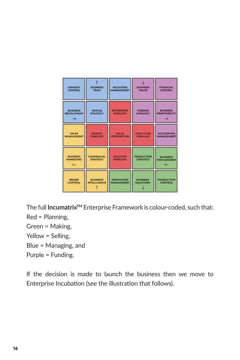| <b>OWNERS'</b>                           | <b>BUSINESS</b>                      | <b>MILESTONE</b>                   | <b>BUSINESS</b>                      | <b>FINANCIAL</b>                                   |
|------------------------------------------|--------------------------------------|------------------------------------|--------------------------------------|----------------------------------------------------|
| <b>CONTROL</b>                           | <b>TEAM</b>                          | <b>MANAGEMENT</b>                  | <b>VALUE</b>                         | <b>CONTROL</b>                                     |
| <b>BUSINESS</b>                          | <b>PEOPLE</b>                        | <b>ENTERPRISE</b>                  | <b>FUNDING</b>                       | <b>BUSINESS</b>                                    |
| <b>RECRUITMENT</b>                       | <b>STRATEGY</b>                      | <b>FORECAST</b>                    | <b>STRATEGY</b>                      | <b>PROFITABILITY</b>                               |
| <b>SALES</b>                             | <b>MARKET</b>                        | <b>VALUE</b>                       | <b>CASH FLOW</b>                     | <b>ACCOUNTING</b>                                  |
| <b>MANAGEMENT</b>                        | <b>FORECAST</b>                      | <b>PROPOSITION</b>                 | <b>FORECAST</b>                      | <b>MANAGEMENT</b>                                  |
| <b>BUSINESS</b><br><b>MARKETING</b><br>← | <b>COMMERCIAL</b><br><b>STRATEGY</b> | <b>SOLUTION</b><br><b>FORECAST</b> | <b>PRODUCTION</b><br><b>STRATEGY</b> | <b>BUSINESS</b><br><b>PROCUREMENT</b><br><b>__</b> |
| <b>BRAND</b>                             | <b>BUSINESS</b>                      | <b>INNOVATION</b>                  | <b>BUSINESS</b>                      | <b>PRODUCTION</b>                                  |
| <b>CONTROL</b>                           | <b>INTELLIGENCE</b>                  | <b>MANAGEMENT</b>                  | <b>SOLUTIONS</b>                     | <b>CONTROL</b>                                     |

The full **IncumatrixTM** Enterprise Framework is colour-coded, such that: Red = Planning, Green = Making, Yellow = Selling, Blue = Managing, and

Purple = Funding.

If the decision is made to launch the business then we move to Enterprise Incubation (see the illustration that follows).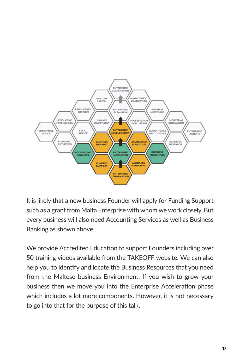

It is likely that a new business Founder will apply for Funding Support such as a grant from Malta Enterprise with whom we work closely. But every business will also need Accounting Services as well as Business Banking as shown above.

We provide Accredited Education to support Founders including over 50 training videos available from the TAKEOFF website. We can also help you to identify and locate the Business Resources that you need from the Maltese business Environment. If you wish to grow your business then we move you into the Enterprise Acceleration phase which includes a lot more components. However, it is not necessary to go into that for the purpose of this talk.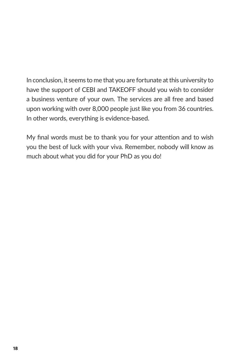In conclusion, it seems to me that you are fortunate at this university to have the support of CEBI and TAKEOFF should you wish to consider a business venture of your own. The services are all free and based upon working with over 8,000 people just like you from 36 countries. In other words, everything is evidence-based.

My final words must be to thank you for your attention and to wish you the best of luck with your viva. Remember, nobody will know as much about what you did for your PhD as you do!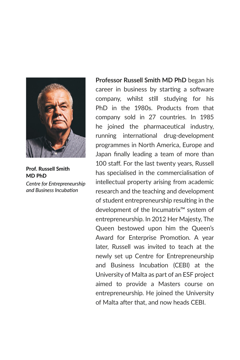

**Prof. Russell Smith MD PhD** *Centre for Entrepreneurship* 

*and Business Incubation*

**Professor Russell Smith MD PhD** began his career in business by starting a software company, whilst still studying for his PhD in the 1980s. Products from that company sold in 27 countries. In 1985 he joined the pharmaceutical industry, running international drug-development programmes in North America, Europe and Japan finally leading a team of more than 100 staff. For the last twenty years, Russell has specialised in the commercialisation of intellectual property arising from academic research and the teaching and development of student entrepreneurship resulting in the development of the Incumatrix™ system of entrepreneurship. In 2012 Her Majesty, The Queen bestowed upon him the Queen's Award for Enterprise Promotion. A year later, Russell was invited to teach at the newly set up Centre for Entrepreneurship and Business Incubation (CEBI) at the University of Malta as part of an ESF project aimed to provide a Masters course on entrepreneurship. He joined the University of Malta after that, and now heads CEBI.